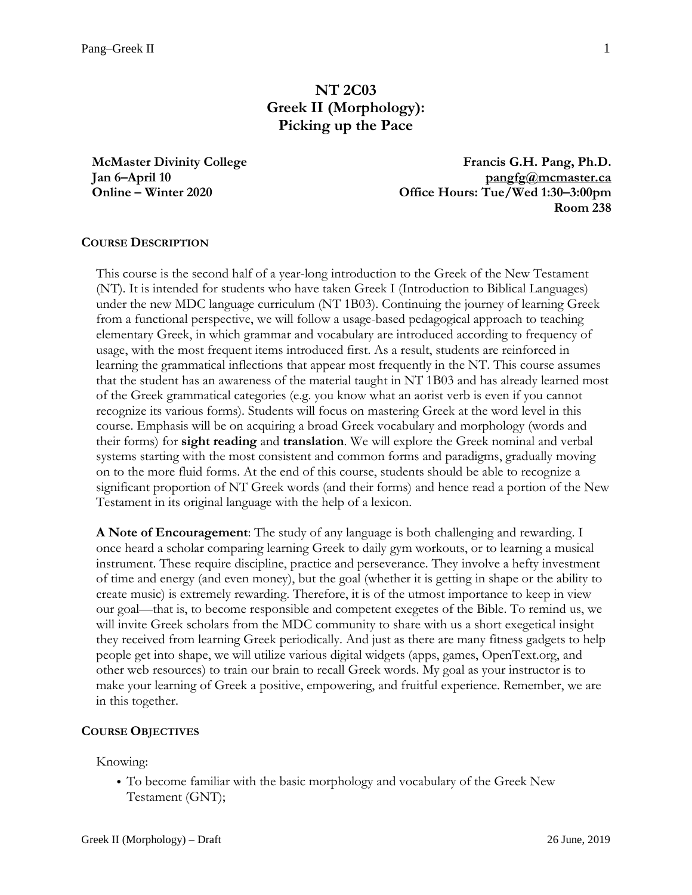# **NT 2C03 Greek II (Morphology): Picking up the Pace**

**McMaster Divinity College Jan 6–April 10 Online – Winter 2020**

**Francis G.H. Pang, Ph.D. [pangfg@mcmaster.ca](mailto:pangfg@mcmaster.ca) Office Hours: Tue/Wed 1:30–3:00pm Room 238**

## **COURSE DESCRIPTION**

This course is the second half of a year-long introduction to the Greek of the New Testament (NT). It is intended for students who have taken Greek I (Introduction to Biblical Languages) under the new MDC language curriculum (NT 1B03). Continuing the journey of learning Greek from a functional perspective, we will follow a usage-based pedagogical approach to teaching elementary Greek, in which grammar and vocabulary are introduced according to frequency of usage, with the most frequent items introduced first. As a result, students are reinforced in learning the grammatical inflections that appear most frequently in the NT. This course assumes that the student has an awareness of the material taught in NT 1B03 and has already learned most of the Greek grammatical categories (e.g. you know what an aorist verb is even if you cannot recognize its various forms). Students will focus on mastering Greek at the word level in this course. Emphasis will be on acquiring a broad Greek vocabulary and morphology (words and their forms) for **sight reading** and **translation**. We will explore the Greek nominal and verbal systems starting with the most consistent and common forms and paradigms, gradually moving on to the more fluid forms. At the end of this course, students should be able to recognize a significant proportion of NT Greek words (and their forms) and hence read a portion of the New Testament in its original language with the help of a lexicon.

**A Note of Encouragement**: The study of any language is both challenging and rewarding. I once heard a scholar comparing learning Greek to daily gym workouts, or to learning a musical instrument. These require discipline, practice and perseverance. They involve a hefty investment of time and energy (and even money), but the goal (whether it is getting in shape or the ability to create music) is extremely rewarding. Therefore, it is of the utmost importance to keep in view our goal—that is, to become responsible and competent exegetes of the Bible. To remind us, we will invite Greek scholars from the MDC community to share with us a short exegetical insight they received from learning Greek periodically. And just as there are many fitness gadgets to help people get into shape, we will utilize various digital widgets (apps, games, OpenText.org, and other web resources) to train our brain to recall Greek words. My goal as your instructor is to make your learning of Greek a positive, empowering, and fruitful experience. Remember, we are in this together.

#### **COURSE OBJECTIVES**

Knowing:

• To become familiar with the basic morphology and vocabulary of the Greek New Testament (GNT);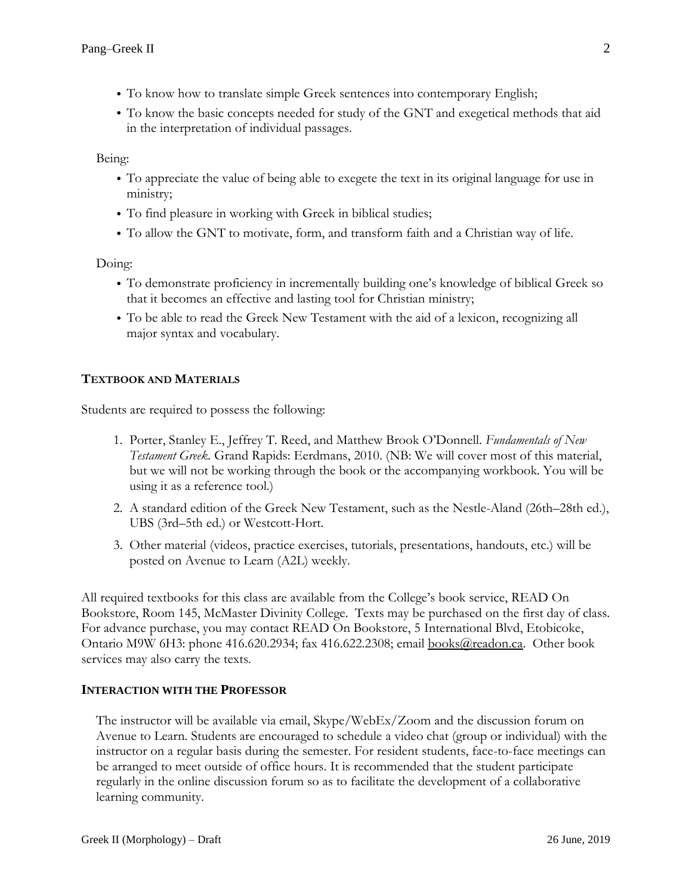- To know how to translate simple Greek sentences into contemporary English;
- To know the basic concepts needed for study of the GNT and exegetical methods that aid in the interpretation of individual passages.

Being:

- To appreciate the value of being able to exegete the text in its original language for use in ministry;
- To find pleasure in working with Greek in biblical studies;
- To allow the GNT to motivate, form, and transform faith and a Christian way of life.

Doing:

- To demonstrate proficiency in incrementally building one's knowledge of biblical Greek so that it becomes an effective and lasting tool for Christian ministry;
- To be able to read the Greek New Testament with the aid of a lexicon, recognizing all major syntax and vocabulary.

# **TEXTBOOK AND MATERIALS**

Students are required to possess the following:

- 1. Porter, Stanley E., Jeffrey T. Reed, and Matthew Brook O'Donnell. *Fundamentals of New Testament Greek.* Grand Rapids: Eerdmans, 2010. (NB: We will cover most of this material, but we will not be working through the book or the accompanying workbook. You will be using it as a reference tool.)
- 2. A standard edition of the Greek New Testament, such as the Nestle-Aland (26th–28th ed.), UBS (3rd–5th ed.) or Westcott-Hort.
- 3. Other material (videos, practice exercises, tutorials, presentations, handouts, etc.) will be posted on Avenue to Learn (A2L) weekly.

All required textbooks for this class are available from the College's book service, READ On Bookstore, Room 145, McMaster Divinity College. Texts may be purchased on the first day of class. For advance purchase, you may contact READ On Bookstore, 5 International Blvd, Etobicoke, Ontario M9W 6H3: phone 416.620.2934; fax 416.622.2308; email [books@readon.ca.](mailto:books@readon.ca) Other book services may also carry the texts.

## **INTERACTION WITH THE PROFESSOR**

The instructor will be available via email, Skype/WebEx/Zoom and the discussion forum on Avenue to Learn. Students are encouraged to schedule a video chat (group or individual) with the instructor on a regular basis during the semester. For resident students, face-to-face meetings can be arranged to meet outside of office hours. It is recommended that the student participate regularly in the online discussion forum so as to facilitate the development of a collaborative learning community.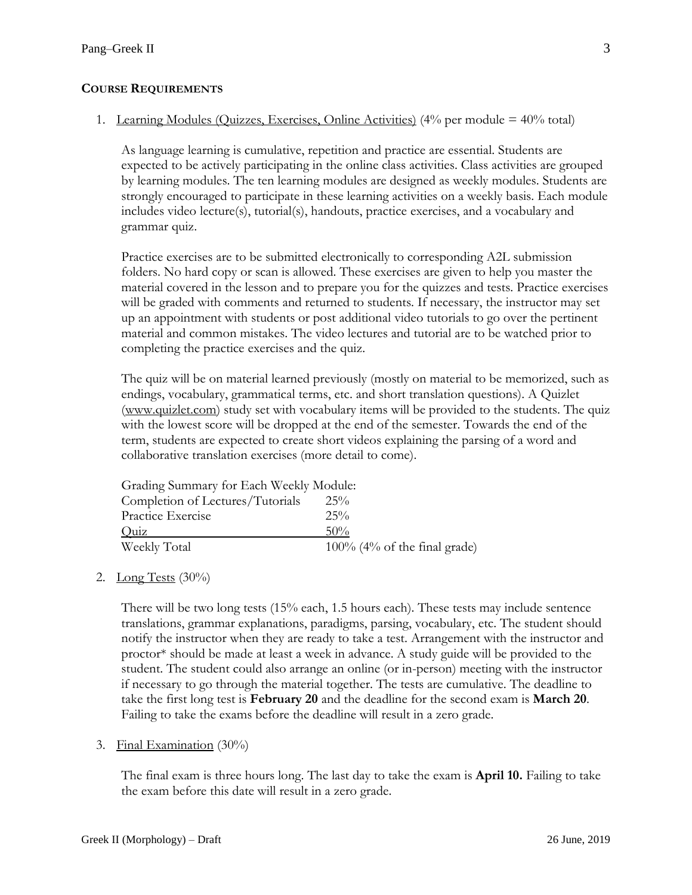## **COURSE REQUIREMENTS**

## 1. Learning Modules (Quizzes, Exercises, Online Activities)  $(4\%$  per module =  $40\%$  total)

As language learning is cumulative, repetition and practice are essential. Students are expected to be actively participating in the online class activities. Class activities are grouped by learning modules. The ten learning modules are designed as weekly modules. Students are strongly encouraged to participate in these learning activities on a weekly basis. Each module includes video lecture(s), tutorial(s), handouts, practice exercises, and a vocabulary and grammar quiz.

Practice exercises are to be submitted electronically to corresponding A2L submission folders. No hard copy or scan is allowed. These exercises are given to help you master the material covered in the lesson and to prepare you for the quizzes and tests. Practice exercises will be graded with comments and returned to students. If necessary, the instructor may set up an appointment with students or post additional video tutorials to go over the pertinent material and common mistakes. The video lectures and tutorial are to be watched prior to completing the practice exercises and the quiz.

The quiz will be on material learned previously (mostly on material to be memorized, such as endings, vocabulary, grammatical terms, etc. and short translation questions). A Quizlet [\(www.quizlet.com\)](http://www.quizlet.com)/) study set with vocabulary items will be provided to the students. The quiz with the lowest score will be dropped at the end of the semester. Towards the end of the term, students are expected to create short videos explaining the parsing of a word and collaborative translation exercises (more detail to come).

| Grading Summary for Each Weekly Module: |                                 |  |
|-----------------------------------------|---------------------------------|--|
| Completion of Lectures/Tutorials        | 25%                             |  |
| Practice Exercise                       | $25\%$                          |  |
| Quiz                                    | $50\%$                          |  |
| Weekly Total                            | $100\%$ (4% of the final grade) |  |

## 2. Long Tests  $(30\%)$

There will be two long tests (15% each, 1.5 hours each). These tests may include sentence translations, grammar explanations, paradigms, parsing, vocabulary, etc. The student should notify the instructor when they are ready to take a test. Arrangement with the instructor and proctor\* should be made at least a week in advance. A study guide will be provided to the student. The student could also arrange an online (or in-person) meeting with the instructor if necessary to go through the material together. The tests are cumulative. The deadline to take the first long test is **February 20** and the deadline for the second exam is **March 20**. Failing to take the exams before the deadline will result in a zero grade.

#### 3. Final Examination (30%)

The final exam is three hours long. The last day to take the exam is **April 10.** Failing to take the exam before this date will result in a zero grade.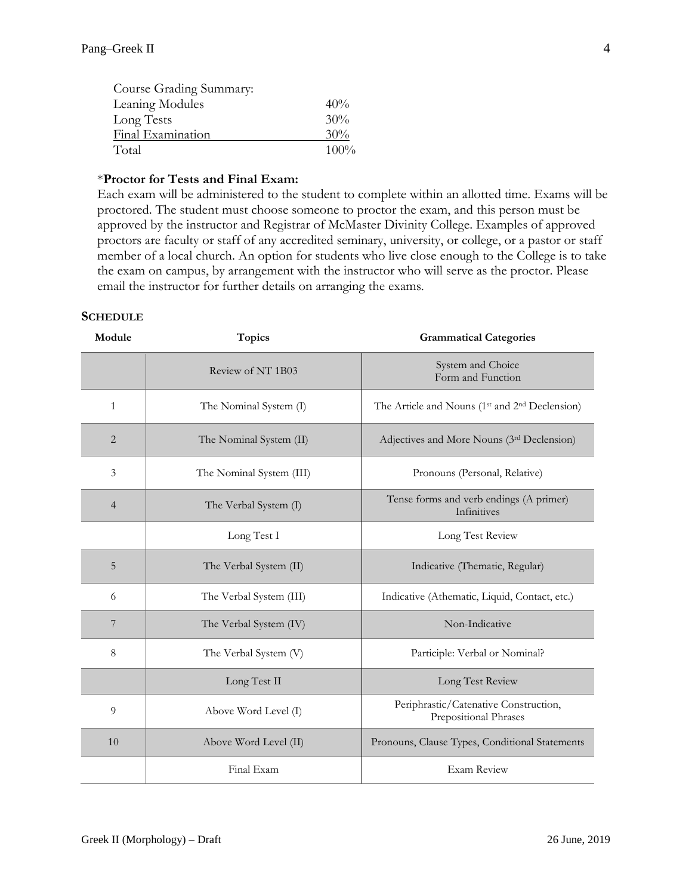| Course Grading Summary: |         |
|-------------------------|---------|
| Leaning Modules         | 40%     |
| Long Tests              | 30%     |
| Final Examination       | 30%     |
| Total                   | $100\%$ |

#### \***Proctor for Tests and Final Exam:**

Each exam will be administered to the student to complete within an allotted time. Exams will be proctored. The student must choose someone to proctor the exam, and this person must be approved by the instructor and Registrar of McMaster Divinity College. Examples of approved proctors are faculty or staff of any accredited seminary, university, or college, or a pastor or staff member of a local church. An option for students who live close enough to the College is to take the exam on campus, by arrangement with the instructor who will serve as the proctor. Please email the instructor for further details on arranging the exams.

#### **SCHEDULE**

| Module         | Topics                   | <b>Grammatical Categories</b>                                          |
|----------------|--------------------------|------------------------------------------------------------------------|
|                | Review of NT 1B03        | System and Choice<br>Form and Function                                 |
| $\mathbf{1}$   | The Nominal System (I)   | The Article and Nouns (1 <sup>st</sup> and 2 <sup>nd</sup> Declension) |
| $\overline{2}$ | The Nominal System (II)  | Adjectives and More Nouns (3rd Declension)                             |
| 3              | The Nominal System (III) | Pronouns (Personal, Relative)                                          |
| $\overline{4}$ | The Verbal System (I)    | Tense forms and verb endings (A primer)<br>Infinitives                 |
|                | Long Test I              | Long Test Review                                                       |
| 5              | The Verbal System (II)   | Indicative (Thematic, Regular)                                         |
| 6              | The Verbal System (III)  | Indicative (Athematic, Liquid, Contact, etc.)                          |
| 7              | The Verbal System (IV)   | Non-Indicative                                                         |
| 8              | The Verbal System (V)    | Participle: Verbal or Nominal?                                         |
|                | Long Test II             | Long Test Review                                                       |
| 9              | Above Word Level (I)     | Periphrastic/Catenative Construction,<br>Prepositional Phrases         |
| 10             | Above Word Level (II)    | Pronouns, Clause Types, Conditional Statements                         |
|                | Final Exam               | <b>Exam Review</b>                                                     |